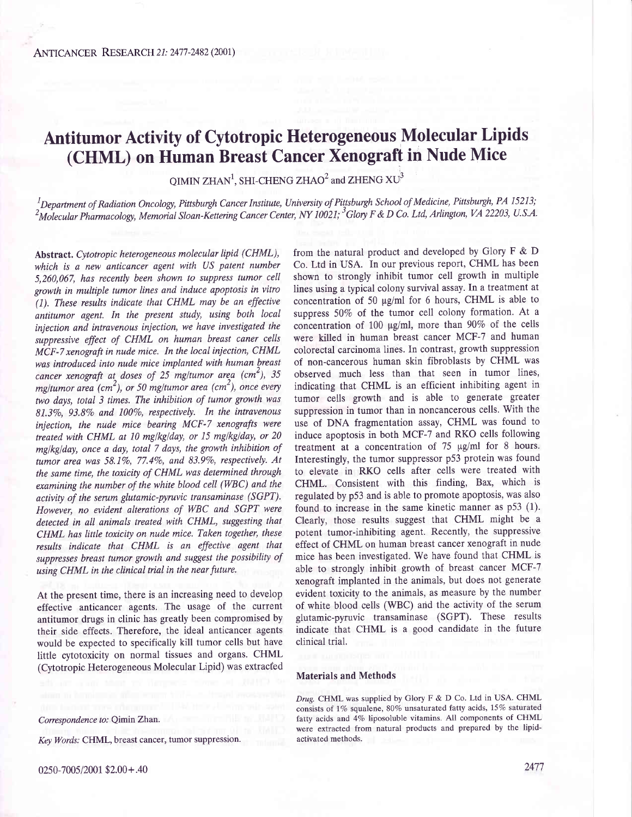# Antitumor Activity of Cytotropic Heterogeneous Molecular Lipids (CHML) on Human Breast Cancer Xenograft in Nude Mice

QIMIN ZHAN<sup>1</sup>, SHI-CHENG ZHAO<sup>2</sup> and ZHENG  $XU<sup>3</sup>$ 

 $^1$ Department of Radiation Oncology, Pittsburgh Cancer Institute, University of Pittsburgh School of Medicine, Pittsburgh, PA 15213;  $^2$ Molecular Pharmacology, Memorial Sloan-Kettering Cancer Center, NY 10021;  $^3$ Glory F & D Co. Ltd, Arlington, VA 22203, U.S.A.

Abstract. Cytotropic heterogeneous molecular lipid (CHML), which is a new anticancer agent with US patent number 5,260,067, has recently been shown to suppress tumor cell growth in multiple tumor lines and induce apoptosis in vitro (1). These results indicate that CHML may be an effective antitumor agent. In the present study, using both local injection and intravenous iniection, we have investigated the suppressive effect of CHML on human breast caner cells MCF-7 xenograft in nude mice. In the local injection, CHML was introduced into nude mice implanted with human breast cancer xenograft at doses of 25 mg/tumor area (cm<sup>2</sup>), 35 mg/tumor area (cm<sup>2</sup>), or 50 mg/tumor area (cm<sup>2</sup>), once every two days, total 3 times. The inhibition of tumor growth was  $81.3\%$ ,  $93.8\%$  and  $100\%$ , respectively. In the intravenous injection, the nude mice bearing MCF-7 xenografts were treated with CHML at 10 mg/kg/day, or 15 mg/kg/day, or 20 mglkglday, once a day, total 7 days, the growth inhibition of tumor area was 58.1%, 77.4%, and 83.9%, respectively. At the same time, the toxicity of CHML was determined through examining the number of the white blood cell (WBC) and the activity of the serum glutamic-pyruvic transaminase (SGPT). However, no evident alterations of WBC and SGPT were detected in all animals treated with CHML, suggesting that CHML has little toxicity on nude mice. Taken together, these results indicate that CHML is an effective agent that suppresses breast tumor growth and suggest the possibility of using CHML in the clinical trial in the near future.

At the present time, there is an increasing need to develop effective anticancer agents. The usage of the current antitumor drugs in clinic has greatly been compromised by their side effects. Therefore, the ideal anticancer agents would be expected to specifically kill tumor cells but have little cytotoxicity on normal tissues and organs. CHML (Cytotropic Heterogeneous Molecular Lipid) was extracfed

from the natural product and developed by Glory F & D Co. Ltd in USA. In our previous report, CHML has been shown to strongly inhibit tumor cell growth in multiple lines using a typical colony survival assay. In a treatment at concentration of 50  $\mu$ g/ml for 6 hours, CHML is able to suppress 50% of the tumor cell colony formation. At a concentration of 100  $\mu$ g/ml, more than 90% of the cells were killed in human breast cancer MCF-7 and human colorectal carcinoma lines. In contrast, growth suppression of non-cancerous human skin fibroblasts by CHML was observed much less than that seen in tumor lines, indicating that CHML is an efficient inhibiting agent in tumor cells growth and is able to generate greater suppression in tumor than in noncancerous cells. With the use of DNA fragmentation assay, CHML was found to induce apoptosis in both MCF-7 and RKO cells following treatment at a concentration of  $75 \text{ µg/ml}$  for 8 hours. Interestingly, the tumor suppressor p53 protein was found to elevate in RKO cells after cells were treated with CHML. Consistent with this finding, Bax, which is regulated by p53 and is able to promote apoptosis, was also found to increase in the same kinetic manner as p53 (1). Clearly, those results suggest that CHML might be a potent tumor-inhibiting agent. Recently, the suppressive effect of CHML on human breast cancer xenograft in nude mice has been investigated. We have found that CHML is able to strongly inhibit growth of breast cancer MCF-7 xenograft implanted in the animals, but does not generate evident toxicity to the animals, as measure by the number of white blood cells (WBC) and the activity of the serum glutamic-pyruvic transaminase (SGPT). These results indicate that CHML is a good candidate in the future clinical trial.

### Materials and Methods

Drug. CHML was supplied by Glory F & D Co. Ltd in USA. CHML consists of 1% squalene, 80% unsaturated fatty acids, 15% saturated fatty acids and 4% liposoluble vitamins. All components of CHML were extracted from natural products and prepared by the lipidactivated methods.

## Correspondence to: Qimin Zhan.

Key Words: CHML, breast cancer, tumor suppression.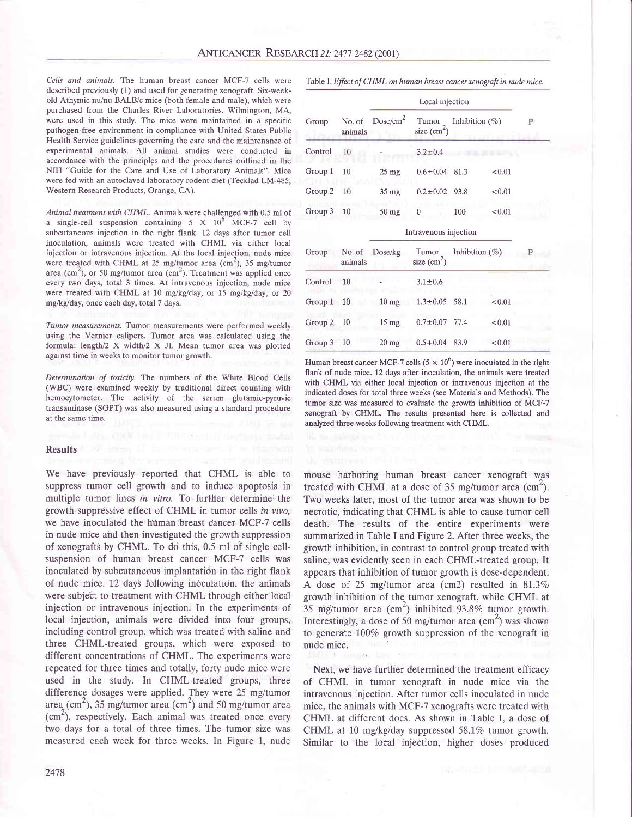Cells and animals. The human breast cancer MCF-7 cells were described previously (1) and used for generating xenograft. Six-weekold Athymic nu/nu BALB/c mice (both female and male), which were purchased from the Charles River Laboratories, Wilmington, MA, were used in this study. The mice were maintained in a specific pathogen-free environment in compliance with United States Public Health Service guidelines governing the care and the maintenance of experimental animals. All animal studies were conducted in accordance with the principles and the procedures outlined in the NIH "Guide for the Care and Use of Laboratory Animals". Mice were fed with an autoclaved laboratory rodent diet (Tecklad LM-485; Westem Research Products, Orange, CA).

Animal treatment with CHML. Animals were challenged with 0.5 ml of a single-cell suspension containing  $5 \text{ X } 10^6 \text{ MCF-7}$  cell by subcutaneous injection in the right flank. 12 days after tumor cell inoculation, animals were treated with CHML via either local injection or intravenous injection. At'the local injection, nude mice were treated with CHML at 25 mg/tumor area  $\text{cm}^2$ ), 35 mg/tumor area (cm<sup>2</sup>), or 50 mg/tumor area (cm<sup>2</sup>). Treatment was applied once every two days, total 3 times. At intravenous injection, nude mice were treated with CHML at 10 mg/kg/day, or 15 mg/kg/day, or 20 mg/kg/day, once each day, total 7 days.

Tumor measurements. Tumor measurements were performed weekly using the Vernier calipers. Tumor area was calculated using the formula: length/2  $X$  width/2  $X$  JI. Mean tumor area was plotted against time in weeks to monitor tumor growth.

Determination of toxicity. The numbers of the White Blood Cells (WBC) were examined weekly by traditional direct counting with hemocytometer. The activity of the serum glutamic-pyruvic transaminase (SGPT) was also measured using a standard procedure at the same time.

#### Results

We have previously reported that CHML is able to suppress tumor cell growth and to induce apoptosis in multiple tumor lines in vitro. To further determine the growth-suppressive effect of CHML in tumor cells in vivo, we have inoculated the human:breast cancer MCF-7 cells in nude mice and then investigated the growth suppression of xenografts by CHML. To do this, 0.5 ml of single cellsuspension of human breast cancer MCF-7 cells was inoculated by subcutaneous implantation in the right flank of nude mice. 12 days following inoculation, the animals were subject to treatment with CHML through either local injection or intravenous injection. In the experiments of local injection, animals were divided into four groups, including control group, which was treated with saline and three CHMl-treated groups, which were exposed to different concentrations of CHML. The experiments were repeated for three times and totally, forty nude mice were used in the study. In CHMl-treated groups, three difference dosages were applied. They were 25 mg/tumor area (cm<sup>2</sup>), 35 mg/tumor area (cm<sup>2</sup>) and 50 mg/tumor area  $(cm<sup>2</sup>)$ , respectively. Each animal was treated once every two days for a total of three times. The tumor size was measured each week for three weeks. In Figure 1, nude

Table I. Effect of CHML on human breast cancer xenograft in nude mice.

| Group   | No. of<br>animals |                      |                                             |                   |        |    |
|---------|-------------------|----------------------|---------------------------------------------|-------------------|--------|----|
|         |                   | Dose/cm <sup>2</sup> | Tumor<br>size $\text{(cm}^2\text{)}$        | Inhibition $(\%)$ |        | P. |
| Control | 10                |                      | $3.2 \pm 0.4$                               |                   |        |    |
| Group 1 | 10                | $25 \text{ mg}$      | $0.6 \pm 0.04$ 81.3                         |                   | < 0.01 |    |
| Group 2 | 10                | $35 \text{ mg}$      | $0.2 \pm 0.02$ 93.8                         |                   | < 0.01 |    |
| Group 3 | 10                | $50 \text{ mg}$      | 0                                           | 100               | < 0.01 |    |
|         |                   |                      | Intravenous injection                       |                   |        |    |
| Group   | No. of<br>animals | Dose/kg              | Inhibition $(\% )$<br>Tumor<br>size $(cm2)$ |                   |        |    |
| Control | 10                |                      | $3.1 + 0.6$                                 |                   |        |    |

| Control    | 10 |                 | $3.1 \pm 0.6$       |        |
|------------|----|-----------------|---------------------|--------|
| Group 1 10 |    | $10 \text{ mg}$ | $1.3 \pm 0.05$ 58.1 | < 0.01 |
| Group 2 10 |    | $15 \text{ mg}$ | $0.7 \pm 0.07$ 77.4 | < 0.01 |
| Group 3 10 |    | $20 \text{ mg}$ | $0.5 + 0.04$ 83.9   | < 0.01 |

Human breast cancer MCF-7 cells ( $5 \times 10^6$ ) were inoculated in the right flank of nude mice. 12 days after inoculation, the animals were treated with CHML via either local injection or intravenous injection at the indicated doses for total three weeks (see Materials and Methods). The tumor size was measured to evaluate the growth inhibition of MCF-7 xenograft by CHML. The results presented here is collected and analyzed three weeks following treatment with CHML.

mouse harboring human breast cancer xenograft was treated with CHML at a dose of 35 mg/tumor area  $(cm<sup>2</sup>).$ Two weeks later, most of the tumor area was shown to be necrotic, indicating that CHML is able to cause tumor cell death. The results of the entire experiments were summarized in Table I and Figure 2. After three weeks, the growth inhibition, in contrast to control group treated with saline, was evidently seen in each CHMl-treated group. It appears that inhibition of tumor growth is dose-dependent. A dose of 25 mg/tumor area (cm2) resulted in  $81.3\%$ growth inhibition of the tumor xenograft, while CHML at 35 mg/tumor area  $(cm<sup>2</sup>)$  inhibited 93.8% tumor growth. Interestingly, a dose of 50 mg/tumor area  $(cm<sup>2</sup>)$  was shown to generate 100% growth suppression of the xenograft in nude mice.

Next, we'have further determined the treatment efficacy of CHML in tumor xenograft in nude mice via the intravenous injection. After tumor cells inoculated in nude mice, the animals with MCF-7 xenografts were treated with CHML at different does. As shown in Table I, a dose of CHML at 10 mg/kg/day suppressed  $58.1\%$  tumor growth. Similar to the local injection, higher doses produced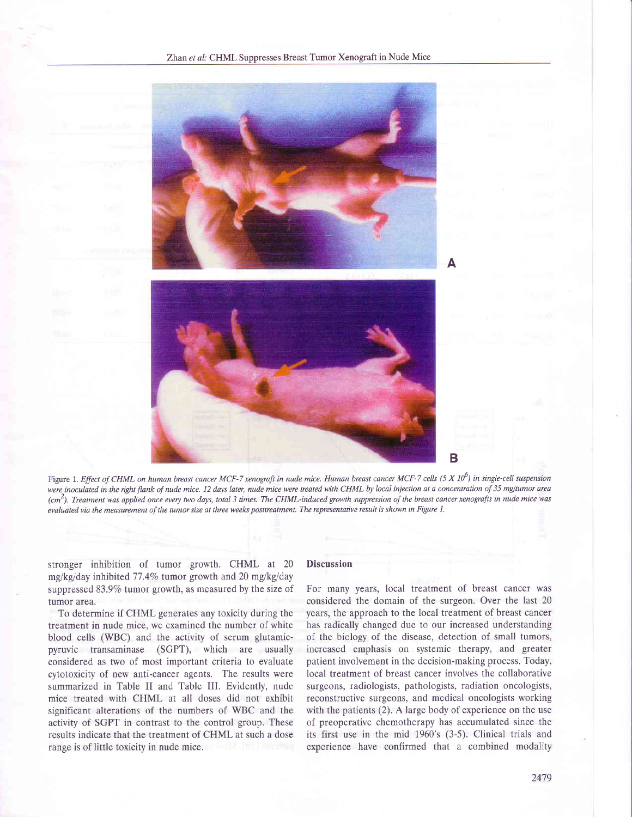

Figure 1. Effect of CHML on human breast cancer MCF-7 xenograft in nude mice. Human breast cancer MCF-7 cells (5 X 10<sup>6</sup>) in single-cell suspension were inoculated in the right flank of nude mice. 12 days later, nude mice were treated with CHML by local injection at a concentration of 35 mg/tumor area  $(cm^2)$ . Treatment was applied once every two days, total 3 times. The CHML-induced growth suppression of the breast cancer xenografts in nude mice was evaluated via the measurement of the tumor size at three weeks posttreatment. The representative result is shown in Figure 1.

stronger inhibition of tumor growth. CHML at 20 mg/kg/day inhibited 77.4% tumor growth and 20 mg/kg/day suppressed 83.9% tumor growth, as measured by the size of tumor area.

To determine if CHML generates any toxicity during the treatment in nude mice, we examined the number of white blood cells (WBC) and the activity of serum glutamicpyruvic transaminase (SGPT), which are usually considered as two of most important criteria to evaluate cytotoxicity of new anti-cancer agents. The results were summarized in Table II and Table III. Evidently, nude mice treated with CHML at all doses did not exhibit significant alterations of the numbers of WBC and the activity of SGPT in contrast to the control group. These results indicate that the treatment of CHML at such a dose range is of little toxicity in nude mice.

# **Discussion**

For many years, local treatment of breast cancer was considered the domain of the surgeon. Over the last 20 years, the approach to the local treatment of breast cancer has radically changed due to our increased understanding of the biology of the disease, detection of small tumors, increased emphasis on systemic therapy, and greater patient involvement in the decision-making process. Today, local treatment of breast cancer involves the collaborative surgeons, radiologists, pathologists, radiation oncologists, reconstructive surgeons, and medical oncologists working with the patients (2). A large body of experience on the use of preoperative chemotherapy has accumulated since the its first use in the mid 1960's (3-5). Clinical trials and experience have confirmed that a combined modality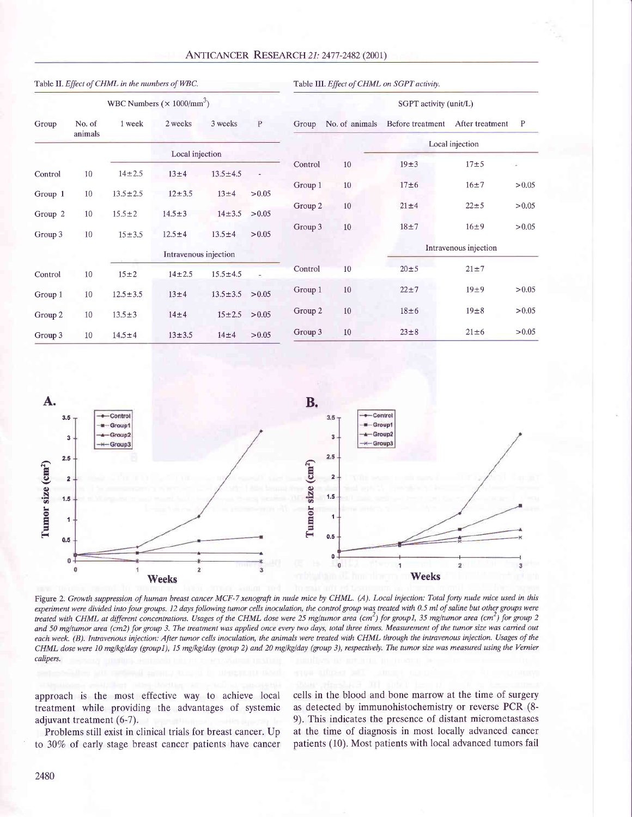| <b>ANTICANCER RESEARCH 21: 2477-2482 (2001)</b> |
|-------------------------------------------------|
|                                                 |

| Table II. Effect of CHML in the numbers of WBC. |                   |                |                       |                | Table III. Effect of CHML on SGPT activity. |         |                        |                       |                 |              |
|-------------------------------------------------|-------------------|----------------|-----------------------|----------------|---------------------------------------------|---------|------------------------|-----------------------|-----------------|--------------|
| WBC Numbers $(\times 1000/\text{mm}^3)$         |                   |                |                       |                |                                             |         | SGPT activity (unit/L) |                       |                 |              |
| Group                                           | No. of<br>animals | 1 week         | 2 weeks               | 3 weeks        | P                                           | Group   | No. of animals         | Before treatment      | After treatment | $\mathbf{P}$ |
|                                                 |                   |                | Local injection       |                |                                             |         |                        | Local injection       |                 |              |
|                                                 |                   |                |                       |                |                                             | Control | 10                     | $19\pm3$              | $17 + 5$        | ¥.           |
| Control                                         | 10                | $14 + 2.5$     | 13±4                  | $13.5 \pm 4.5$ | $\sim$                                      |         |                        |                       |                 |              |
| Group 1                                         | 10                | $13.5 \pm 2.5$ | $12 + 3.5$            | $13\pm4$       | > 0.05                                      | Group 1 | 10                     | 17±6                  | $16 + 7$        | > 0.05       |
|                                                 |                   |                |                       |                |                                             | Group 2 | 10                     | $21 \pm 4$            | $22 + 5$        | > 0.05       |
| Group 2                                         | 10                | $15.5 \pm 2$   | $14.5 \pm 3$          | $14 \pm 3.5$   | > 0.05                                      |         |                        |                       |                 |              |
| Group 3                                         | 10                | $15 + 3.5$     | $12.5 \pm 4$          | $13.5 \pm 4$   | > 0.05                                      | Group 3 | 10                     | $18 + 7$              | $16\pm9$        | > 0.05       |
|                                                 |                   |                | Intravenous injection |                |                                             |         |                        | Intravenous injection |                 |              |
|                                                 |                   |                |                       |                |                                             | Control | 10                     | $20\pm 5$             | $21 \pm 7$      |              |
| Control                                         | 10                | $15\pm2$       | $14 + 2.5$            | $15.5 \pm 4.5$ |                                             |         |                        |                       |                 |              |
| Group 1                                         | 10                | $12.5 \pm 3.5$ | $13\pm4$              | $13.5 \pm 3.5$ | > 0.05                                      | Group 1 | 10                     | $22 + 7$              | 19±9            | > 0.05       |
| Group 2                                         | 10                | $13.5 \pm 3$   | $14\pm4$              | $15 \pm 2.5$   | > 0.05                                      | Group 2 | 10                     | $18\pm 6$             | $19\pm8$        | > 0.05       |
| Group 3                                         | 10                | $14.5 \pm 4$   | $13 + 3.5$            | $14\pm4$       | > 0.05                                      | Group 3 | 10                     | $23\pm8$              | $21 \pm 6$      | > 0.05       |



Figure 2. Growth suppression of human breast cancer MCF-7 xenograft in nude mice by CHML. (A). Local injection: Total forty nude mice used in this experiment were divided into four groups. 12 days following tumor cells inoculation, the control group was treated with 0.5 ml of saline but other groups were treated with CHML at different concentrations. Usages of the CHML dose were 25 mg/tumor area (cm<sup>2</sup>) for group1, 35 mg/tumor area (cm<sup>2</sup>) for group 2 and 50 mg/tumor area (cm2) for group 3. The treatment was applied once every two days, total three times. Measurement of the tumor size was carried out each week. (B). Intravenous injection: Afier tumor cells inoculation, the animals were treated with CHML through the intravenous injection. Usages of the CHML dose were 10 mg/kg/day (group1), 15 mg/kg/day (group 2) and 20 mg/kg/day (group 3), respectively. The tumor size was measured using the Vernier calipers.

approach is the most effective way to achieve local treatment while providing the advantages of systemic adjuvant treatment (6-7).

cells in the blood and bone marrow at the time of surgery as detected by immunohistochemistry or reverse PCR (8- 9). This indicates the presence of distant micrometastases at the time of diagnosis in most locally advanced cancer patients (10). Most patients with local advanced tumors fail

Problems still exist in clinical trials for breast cancer. Up to 3070 of early stage breast cancer patients have cancer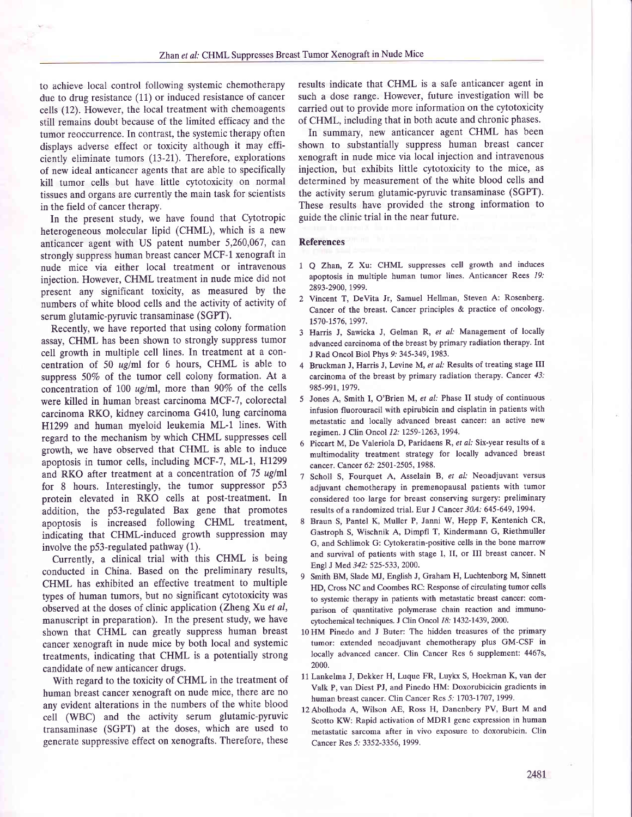to achieve local control following systemic chemotherapy due to drug resistance (11) or induced resistance of cancer cells (12). However, the local treatment with chemoagents still remains doubt because of the limited efficacy and the tumor reoccurrence. In contrast, the systemic therapy often displays adverse effect or toxicity although it may efficiently eliminate tumors (I3-2I). Therefore, explorations of new ideal anticancer agents that are able to specifically kill tumor cells but have little cytotoxicity on normal tissues and organs are currently the main task for scientists in the field of cancer therapy.

In the present study, we have found that Cytotropic heterogeneous molecular lipid (CHML), which is a new anticancer agent with US patent number 5,260,067, can strongly suppress human breast cancer MCF-1 xenograft in nude mice via either local treatment or intravenous injection. However, CHML treatment in nude mice did not present any significant toxicity, as measured by the numbers of white blood cells and the activity of activity of serum glutamic-pyruvic transaminase (SGPT).

Recently, we have reported that using colony formation assay, CHML has been shown to strongly suppress tumor cell growth in multiple cell lines. In treatment at a concentration of 50  $\mu$ g/ml for 6 hours, CHML is able to suppress  $50\%$  of the tumor cell colony formation. At a concentration of 100  $\mu$ g/ml, more than 90% of the cells were killed in human breast carcinoma MCF-7, colorectal carcinoma RKO, kidney carcinoma G410, lung carcinoma H1299 and human myeloid leukemia ML-1 lines. With regard to the mechanism by which CHML suppresses cell growth, we have observed that CHML is able to induce apoptosis in tumor cells, including MCF-7, ML-I, HI299 and RKO after treatment at a concentration of 75 ug/ml for 8 hours. Interestingly, the tumor suppressor p53 protein elevated in RKO cells at post-treatment. In addition, the p53-regulated Bax gene that promotes apoptosis is increased following CHML treatment, indicating that CHMl-induced growth suppression may involve the p53-regulated pathway (1).

Currently, a clinical trial with this CHML is being conducted in China. Based on the preliminary results, CHML has exhibited an effective treatment to multiple types of human tumors, but no significant cytotoxicity was observed at the doses of clinic application (Zheng Xu et al, manuscript in preparation). In the present study, we have shown that CHML can greatly suppress human breast cancer xenograft in nude mice by both local and systemic treatments, indicating that CHML is a potentially strong candidate of new anticancer drugs.

With regard to the toxicity of CHML in the treatment of human breast cancer xenograft on nude mice, there are no any evident alterations in the numbers of the white blood cell (WBC) and the activity serum glutamic-pyruvic transaminase (SGPT) at the doses, which are used to generate suppressive effect on xenografts. Therefore, these

results indicate that CHML is a safe anticancer agent in such a dose range. However, future investigation will be carried out to provide more information on the cytotoxicity of CHML, including that in both acute and chronic phases.

In summary, new anticancer agent CHML has been shown to substantially suppress human breast cancer xenograft in nude mice via local injection and intravenous injection, but exhibits little cytotoxicity to the mice, as determined by measurement of the white blood cells and the activity serum glutamic-pyruvic transaminase (SGPT). These results have provided the strong information to guide the clinic trial in the near future.

#### References

- I Q Zhan, Z Xu: CHML suppresses cell growth and induces apoptosis in multiple human tumor lines. Anticancer Rees 19.' 2893-2900, 1999.
- 2 Vincent T, DeVita Jr, Samuel Hellman, Steven A: Rosenberg. Cancer of the breast. Cancer principles & practice of oncology. 1570-1576, t997.
- Harris J, Sawicka J, Gelman R, et al: Management of locally advanced carcinoma of the breast by primary radiation therapy. Int J Rad Oncol Biol Phys 9: 345-349, 1983.
- Bruckman J, Harris J, Levine M, et al: Results of treating stage III carcinoma of the breast by primary radiation therapy. Cancer 43: 985-991, 1979.
- 5 Jones A, Smith I, O'Brien M, et al: Phase II study of continuous infusion fluorouracil with epirubicin and cisplatin in patients with metastatic and locally advanced breast cancer: an active new regimen. J Clin Oncol 12: 1259-1263, 1994.
- 6 Piccart M, De Valeriola D, Paridaens R, et al: Six-year results of a multimodality treatment strategy for locally advanced breast cancer. Cancer 62: 2501-2505, 1988.
- 7 Scholl S, Fourquet A, Asselain B, et al: Neoadjuvant versus adjuvant chemotherapy in premenopausal patients with tumor considered too large for breast conserving surgery: preliminary results of a randomized trial. Eur J Cancer 30A: 645-649, 1994.
- 8 Braun S, Pantel K, Muller P, Janni W, Hepp F, Kentenich CR, Gastroph S, Wischnik A, Dimpfl T, Kindermann G, Riethmuller G, and Schlimok G: Cytokeratin-positive cells in the bone marrow and survival of patients with stage I, II, or III breast cancer. N Engl J Med 342: 525-533, 2000.
- 9 Smith BM, Slade MJ, English J, Graham H, Luchtenborg M, Sinnett HD, Cross NC and Coombes RC: Response of circulating tumor cells to systemic therapy in patients with metastatic breast cancer: comparison of quantitative polymerase chain reaction and immunocytochemical techniques. J Clin Oncol 18: 1432-1439, 2000.
- 10 HM Pinedo and J Buter: The hidden treasures of the primary tumor: extended neoadjuvant chemotherapy plus GM-CSF in locally advanced cancer. Clin Cancer Res 6 supplement: 4467s, 2000.
- 1L Lankelma J, Dekker H, Luque FR, Luykx S, Hoekman K, van der Valk P, van Diest PJ, and Pinedo HM: Doxorubicicin gradients in human breast cancer. Clin Cancer Res 5: 1703-1707, 1999.
- l2Abolhoda A, Wilson AE, Ross H, Danenbery PV, Burt M and Scotto KW: Rapid activation of MDR1 gene expression in human metastatic sarcoma after in vivo exposure to doxorubicin. Clin Cancer Res 5: 3352-3356, 1999.